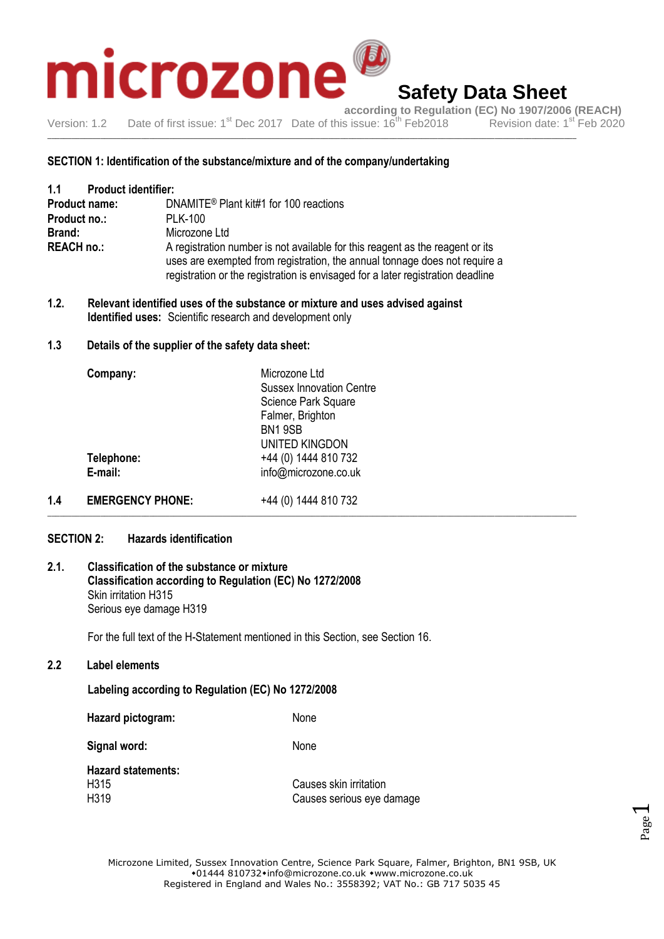

**according to Regulation (EC) No 1907/2006 (REACH)**<br>is issue: 16<sup>th</sup> Feb2018 Revision date: 1<sup>st</sup> Feb 2020 Version: 1.2 Date of first issue: 1<sup>st</sup> Dec 2017 Date of this issue: 16<sup>th</sup> Feb 2018

\_\_\_\_\_\_\_\_\_\_\_\_\_\_\_\_\_\_\_\_\_\_\_\_\_\_\_\_\_\_\_\_\_\_\_\_\_\_\_\_\_\_\_\_\_\_\_\_\_\_\_\_\_\_\_\_\_\_\_\_\_\_\_\_\_\_\_\_\_\_\_\_\_\_\_\_\_\_\_\_\_\_\_\_\_\_\_\_\_\_\_\_\_\_\_\_\_\_\_\_\_\_\_\_\_\_\_\_\_\_\_\_\_\_\_\_\_\_\_\_\_\_\_\_\_\_\_\_\_\_

#### **SECTION 1: Identification of the substance/mixture and of the company/undertaking**

| 1.1                  | <b>Product identifier:</b> |                                                                                                                                                                                                                                                |
|----------------------|----------------------------|------------------------------------------------------------------------------------------------------------------------------------------------------------------------------------------------------------------------------------------------|
| <b>Product name:</b> |                            | DNAMITE <sup>®</sup> Plant kit#1 for 100 reactions                                                                                                                                                                                             |
| Product no.:         |                            | <b>PLK-100</b>                                                                                                                                                                                                                                 |
| Brand:               |                            | Microzone Ltd                                                                                                                                                                                                                                  |
| <b>REACH no.:</b>    |                            | A registration number is not available for this reagent as the reagent or its<br>uses are exempted from registration, the annual tonnage does not require a<br>registration or the registration is envisaged for a later registration deadline |

**1.2. Relevant identified uses of the substance or mixture and uses advised against Identified uses:** Scientific research and development only

#### **1.3 Details of the supplier of the safety data sheet:**

| Company:   | Microzone Ltd<br><b>Sussex Innovation Centre</b> |  |
|------------|--------------------------------------------------|--|
|            | Science Park Square                              |  |
|            | Falmer, Brighton                                 |  |
|            | BN19SB                                           |  |
|            | UNITED KINGDON                                   |  |
| Telephone: | +44 (0) 1444 810 732                             |  |
| E-mail:    | info@microzone.co.uk                             |  |
|            |                                                  |  |

1.4 **EMERGENCY PHONE:** +44 (0) 1444 810 732 \_\_\_\_\_\_\_\_\_\_\_\_\_\_\_\_\_\_\_\_\_\_\_\_\_\_\_\_\_\_\_\_\_\_\_\_\_\_\_\_\_\_\_\_\_\_\_\_\_\_\_\_\_\_\_\_\_\_\_\_\_\_\_\_\_\_\_\_\_\_\_\_\_\_\_\_\_\_\_\_\_\_\_\_\_\_\_\_\_\_\_\_\_\_\_\_\_\_\_\_\_\_\_\_\_\_\_\_\_\_\_\_\_\_\_\_\_\_\_\_\_\_\_\_\_\_\_\_\_\_

#### **SECTION 2: Hazards identification**

#### **2.1. Classification of the substance or mixture Classification according to Regulation (EC) No 1272/2008** Skin irritation H315 Serious eye damage H319

For the full text of the H-Statement mentioned in this Section, see Section 16.

#### **2.2 Label elements**

#### **Labeling according to Regulation (EC) No 1272/2008**

| Hazard pictogram:         | None                      |
|---------------------------|---------------------------|
| Signal word:              | <b>None</b>               |
| <b>Hazard statements:</b> |                           |
| H315                      | Causes skin irritation    |
| H319                      | Causes serious eye damage |

Page  $\overline{\phantom{0}}$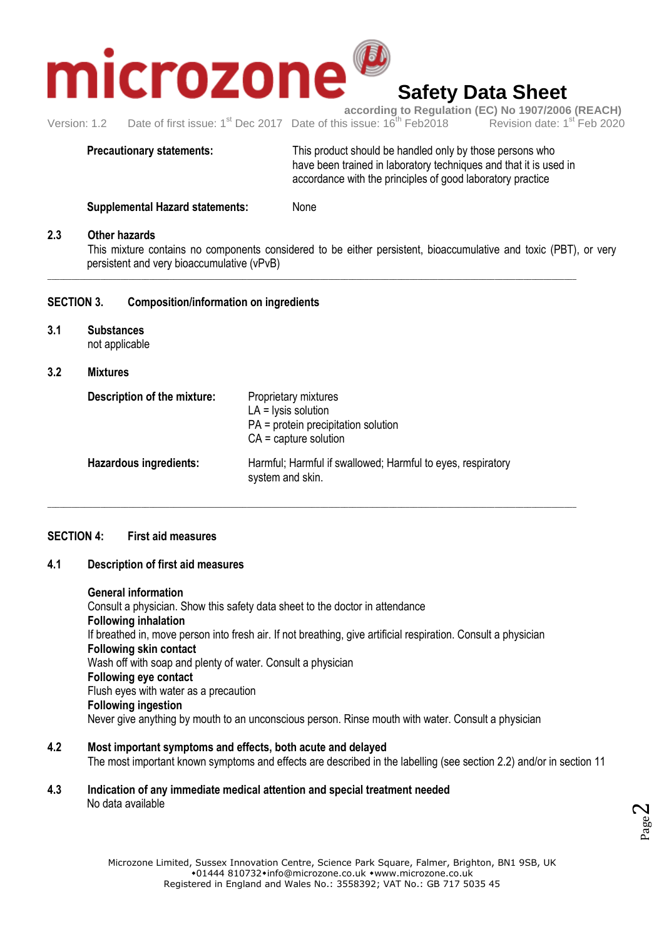

## **Safety Data Sheet**

**according to Regulation (EC) No 1907/2006 (REACH)**<br>s issue: 16<sup>th</sup> Feb2018 Revision date: 1<sup>st</sup> Feb 2020 Version: 1.2 Date of first issue:  $1<sup>st</sup>$  Dec 2017 Date of this issue:  $16<sup>th</sup>$  Feb 2018

**Precautionary statements:** This product should be handled only by those persons who have been trained in laboratory techniques and that it is used in accordance with the principles of good laboratory practice

**Supplemental Hazard statements:** None

#### **2.3 Other hazards**

This mixture contains no components considered to be either persistent, bioaccumulative and toxic (PBT), or very persistent and very bioaccumulative (vPvB)

\_\_\_\_\_\_\_\_\_\_\_\_\_\_\_\_\_\_\_\_\_\_\_\_\_\_\_\_\_\_\_\_\_\_\_\_\_\_\_\_\_\_\_\_\_\_\_\_\_\_\_\_\_\_\_\_\_\_\_\_\_\_\_\_\_\_\_\_\_\_\_\_\_\_\_\_\_\_\_\_\_\_\_\_\_\_\_\_\_\_\_\_\_\_\_\_\_\_\_\_\_\_\_\_\_\_\_\_\_\_\_\_\_\_\_\_\_\_\_\_\_\_\_\_\_\_\_\_\_\_

#### **SECTION 3. Composition/information on ingredients**

**3.1 Substances** not applicable

#### **3.2 Mixtures**

| Description of the mixture:   | Proprietary mixtures<br>$LA = lysis$ solution<br>$PA = protein$ precipitation solution<br>$CA =$ capture solution |
|-------------------------------|-------------------------------------------------------------------------------------------------------------------|
| <b>Hazardous ingredients:</b> | Harmful; Harmful if swallowed; Harmful to eyes, respiratory<br>system and skin.                                   |

\_\_\_\_\_\_\_\_\_\_\_\_\_\_\_\_\_\_\_\_\_\_\_\_\_\_\_\_\_\_\_\_\_\_\_\_\_\_\_\_\_\_\_\_\_\_\_\_\_\_\_\_\_\_\_\_\_\_\_\_\_\_\_\_\_\_\_\_\_\_\_\_\_\_\_\_\_\_\_\_\_\_\_\_\_\_\_\_\_\_\_\_\_\_\_\_\_\_\_\_\_\_\_\_\_\_\_\_\_\_\_\_\_\_\_\_\_\_\_\_\_\_\_\_\_\_\_\_\_\_

#### **SECTION 4: First aid measures**

#### **4.1 Description of first aid measures**

#### **General information**

Consult a physician. Show this safety data sheet to the doctor in attendance **Following inhalation** If breathed in, move person into fresh air. If not breathing, give artificial respiration. Consult a physician **Following skin contact** Wash off with soap and plenty of water. Consult a physician **Following eye contact** Flush eyes with water as a precaution **Following ingestion** Never give anything by mouth to an unconscious person. Rinse mouth with water. Consult a physician

- **4.2 Most important symptoms and effects, both acute and delayed** The most important known symptoms and effects are described in the labelling (see section 2.2) and/or in section 11
- **4.3 Indication of any immediate medical attention and special treatment needed** No data available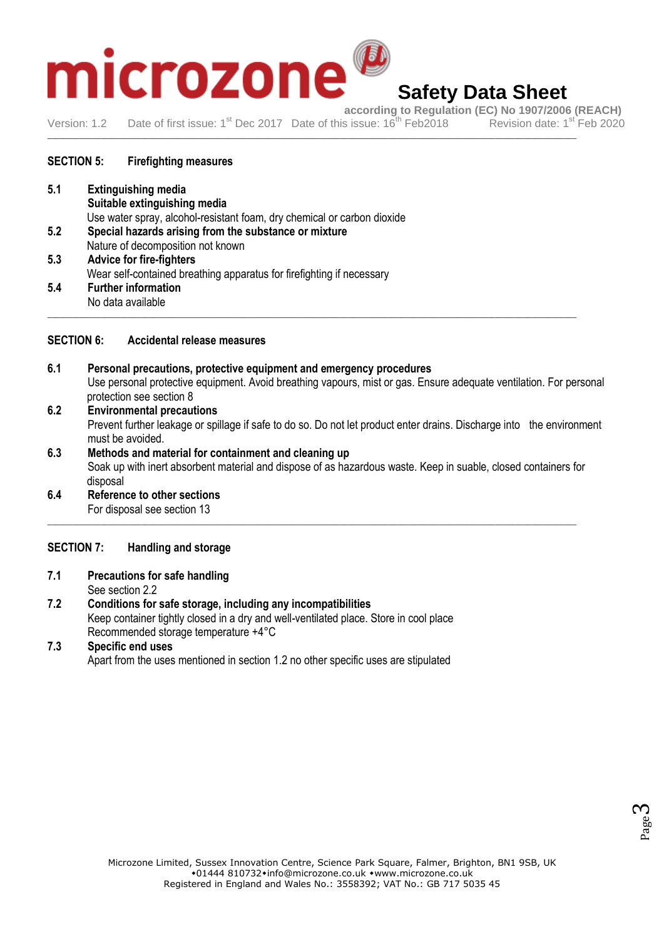# **according to Regulation (EC) No 1907/2006 (REACH)**<br>
Date of first issue: 1<sup>st</sup> Dec 2017 Date of this issue: 16<sup>th</sup> Feb2018 Revision date: 1<sup>st</sup> Feb 2020

## **Safety Data Sheet**

Version: 1.2 Date of first issue: 1<sup>st</sup> Dec 2017 Date of this issue: 16<sup>th</sup> Feb 2018 \_\_\_\_\_\_\_\_\_\_\_\_\_\_\_\_\_\_\_\_\_\_\_\_\_\_\_\_\_\_\_\_\_\_\_\_\_\_\_\_\_\_\_\_\_\_\_\_\_\_\_\_\_\_\_\_\_\_\_\_\_\_\_\_\_\_\_\_\_\_\_\_\_\_\_\_\_\_\_\_\_\_\_\_\_\_\_\_\_\_\_\_\_\_\_\_\_\_\_\_\_\_\_\_\_\_\_\_\_\_\_\_\_\_\_\_\_\_\_\_\_\_\_\_\_\_\_\_\_\_

#### **SECTION 5: Firefighting measures**

- **5.1 Extinguishing media Suitable extinguishing media** Use water spray, alcohol-resistant foam, dry chemical or carbon dioxide **5.2 Special hazards arising from the substance or mixture** Nature of decomposition not known **5.3 Advice for fire-fighters** Wear self-contained breathing apparatus for firefighting if necessary **5.4 Further information**
- No data available \_\_\_\_\_\_\_\_\_\_\_\_\_\_\_\_\_\_\_\_\_\_\_\_\_\_\_\_\_\_\_\_\_\_\_\_\_\_\_\_\_\_\_\_\_\_\_\_\_\_\_\_\_\_\_\_\_\_\_\_\_\_\_\_\_\_\_\_\_\_\_\_\_\_\_\_\_\_\_\_\_\_\_\_\_\_\_\_\_\_\_\_\_\_\_\_\_\_\_\_\_\_\_\_\_\_\_\_\_\_\_\_\_\_\_\_\_\_\_\_\_\_\_\_\_\_\_\_\_\_

#### **SECTION 6: Accidental release measures**

- **6.1 Personal precautions, protective equipment and emergency procedures** Use personal protective equipment. Avoid breathing vapours, mist or gas. Ensure adequate ventilation. For personal protection see section 8
- **6.2 Environmental precautions** Prevent further leakage or spillage if safe to do so. Do not let product enter drains. Discharge into the environment must be avoided.
- **6.3 Methods and material for containment and cleaning up** Soak up with inert absorbent material and dispose of as hazardous waste. Keep in suable, closed containers for disposal

\_\_\_\_\_\_\_\_\_\_\_\_\_\_\_\_\_\_\_\_\_\_\_\_\_\_\_\_\_\_\_\_\_\_\_\_\_\_\_\_\_\_\_\_\_\_\_\_\_\_\_\_\_\_\_\_\_\_\_\_\_\_\_\_\_\_\_\_\_\_\_\_\_\_\_\_\_\_\_\_\_\_\_\_\_\_\_\_\_\_\_\_\_\_\_\_\_\_\_\_\_\_\_\_\_\_\_\_\_\_\_\_\_\_\_\_\_\_\_\_\_\_\_\_\_\_\_\_\_\_

**6.4 Reference to other sections** For disposal see section 13

#### **SECTION 7: Handling and storage**

- **7.1 Precautions for safe handling**
	- See section 2.2
- **7.2 Conditions for safe storage, including any incompatibilities** Keep container tightly closed in a dry and well-ventilated place. Store in cool place Recommended storage temperature +4°C

#### **7.3 Specific end uses**

Apart from the uses mentioned in section 1.2 no other specific uses are stipulated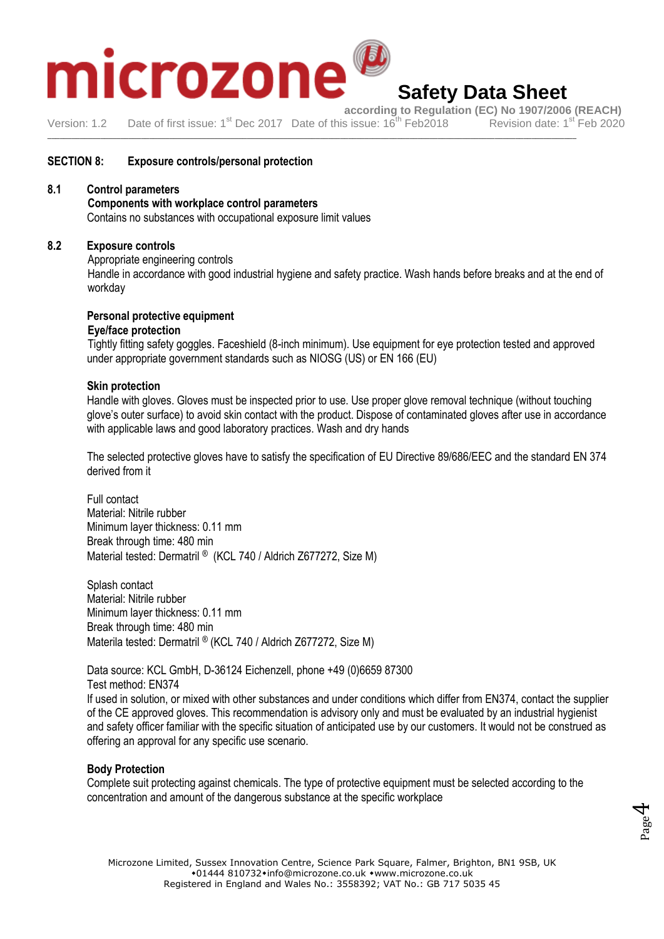

### **Safety Data Sheet**

**according to Regulation (EC) No 1907/2006 (REACH)**<br>s issue: 16<sup>th</sup> Feb2018 Revision date: 1<sup>st</sup> Feb 2020 Version: 1.2 Date of first issue: 1<sup>st</sup> Dec 2017 Date of this issue: 16<sup>th</sup> Feb 2018

\_\_\_\_\_\_\_\_\_\_\_\_\_\_\_\_\_\_\_\_\_\_\_\_\_\_\_\_\_\_\_\_\_\_\_\_\_\_\_\_\_\_\_\_\_\_\_\_\_\_\_\_\_\_\_\_\_\_\_\_\_\_\_\_\_\_\_\_\_\_\_\_\_\_\_\_\_\_\_\_\_\_\_\_\_\_\_\_\_\_\_\_\_\_\_\_\_\_\_\_\_\_\_\_\_\_\_\_\_\_\_\_\_\_\_\_\_\_\_\_\_\_\_\_\_\_\_\_\_\_

#### **SECTION 8: Exposure controls/personal protection**

#### **8.1 Control parameters**

#### **Components with workplace control parameters**

Contains no substances with occupational exposure limit values

#### **8.2 Exposure controls**

Appropriate engineering controls

Handle in accordance with good industrial hygiene and safety practice. Wash hands before breaks and at the end of workday

#### **Personal protective equipment**

#### **Eye/face protection**

Tightly fitting safety goggles. Faceshield (8-inch minimum). Use equipment for eye protection tested and approved under appropriate government standards such as NIOSG (US) or EN 166 (EU)

#### **Skin protection**

Handle with gloves. Gloves must be inspected prior to use. Use proper glove removal technique (without touching glove's outer surface) to avoid skin contact with the product. Dispose of contaminated gloves after use in accordance with applicable laws and good laboratory practices. Wash and dry hands

The selected protective gloves have to satisfy the specification of EU Directive 89/686/EEC and the standard EN 374 derived from it

Full contact Material: Nitrile rubber Minimum layer thickness: 0.11 mm Break through time: 480 min Material tested: Dermatril ® (KCL 740 / Aldrich Z677272, Size M)

Splash contact Material: Nitrile rubber Minimum layer thickness: 0.11 mm Break through time: 480 min Materila tested: Dermatril ® (KCL 740 / Aldrich Z677272, Size M)

Data source: KCL GmbH, D-36124 Eichenzell, phone +49 (0)6659 87300 Test method: EN374

If used in solution, or mixed with other substances and under conditions which differ from EN374, contact the supplier of the CE approved gloves. This recommendation is advisory only and must be evaluated by an industrial hygienist and safety officer familiar with the specific situation of anticipated use by our customers. It would not be construed as offering an approval for any specific use scenario.

#### **Body Protection**

Complete suit protecting against chemicals. The type of protective equipment must be selected according to the concentration and amount of the dangerous substance at the specific workplace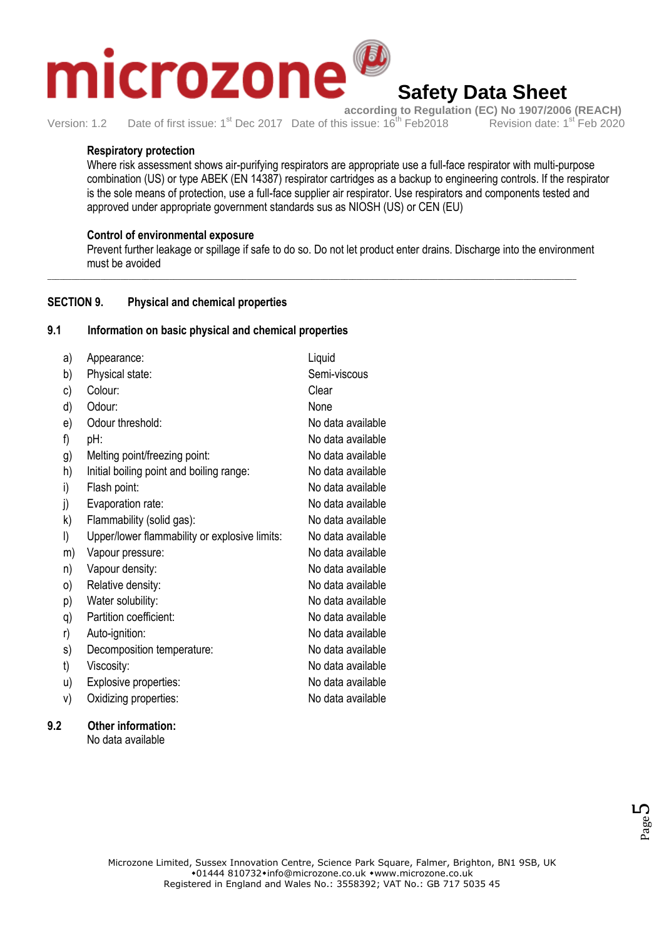## crozone **Safety Data Sheet**

**according to Regulation (EC) No 1907/2006 (REACH)**<br>s issue: 16<sup>th</sup> Feb2018 Revision date: 1<sup>st</sup> Feb 2020 Version: 1.2 Date of first issue: 1<sup>st</sup> Dec 2017 Date of this issue: 16<sup>th</sup> Feb 2018

#### **Respiratory protection**

Where risk assessment shows air-purifying respirators are appropriate use a full-face respirator with multi-purpose combination (US) or type ABEK (EN 14387) respirator cartridges as a backup to engineering controls. If the respirator is the sole means of protection, use a full-face supplier air respirator. Use respirators and components tested and approved under appropriate government standards sus as NIOSH (US) or CEN (EU)

#### **Control of environmental exposure**

Prevent further leakage or spillage if safe to do so. Do not let product enter drains. Discharge into the environment must be avoided

\_\_\_\_\_\_\_\_\_\_\_\_\_\_\_\_\_\_\_\_\_\_\_\_\_\_\_\_\_\_\_\_\_\_\_\_\_\_\_\_\_\_\_\_\_\_\_\_\_\_\_\_\_\_\_\_\_\_\_\_\_\_\_\_\_\_\_\_\_\_\_\_\_\_\_\_\_\_\_\_\_\_\_\_\_\_\_\_\_\_\_\_\_\_\_\_\_\_\_\_\_\_\_\_\_\_\_\_\_\_\_\_\_\_\_\_\_\_\_\_\_\_\_\_\_\_\_\_\_\_

#### **SECTION 9. Physical and chemical properties**

#### **9.1 Information on basic physical and chemical properties**

| a) | Appearance:                                   | Liquid            |
|----|-----------------------------------------------|-------------------|
| b) | Physical state:                               | Semi-viscous      |
| c) | Colour:                                       | Clear             |
| d) | Odour:                                        | None              |
| e) | Odour threshold:                              | No data available |
| f) | pH:                                           | No data available |
| g) | Melting point/freezing point:                 | No data available |
| h) | Initial boiling point and boiling range:      | No data available |
| i) | Flash point:                                  | No data available |
| j) | Evaporation rate:                             | No data available |
| k) | Flammability (solid gas):                     | No data available |
| I) | Upper/lower flammability or explosive limits: | No data available |
| m) | Vapour pressure:                              | No data available |
| n) | Vapour density:                               | No data available |
| 0) | Relative density:                             | No data available |
| p) | Water solubility:                             | No data available |
| q) | Partition coefficient:                        | No data available |
| r) | Auto-ignition:                                | No data available |
| s) | Decomposition temperature:                    | No data available |
| t) | Viscosity:                                    | No data available |
| u) | Explosive properties:                         | No data available |
| V) | Oxidizing properties:                         | No data available |
|    |                                               |                   |

#### **9.2 Other information:**

No data available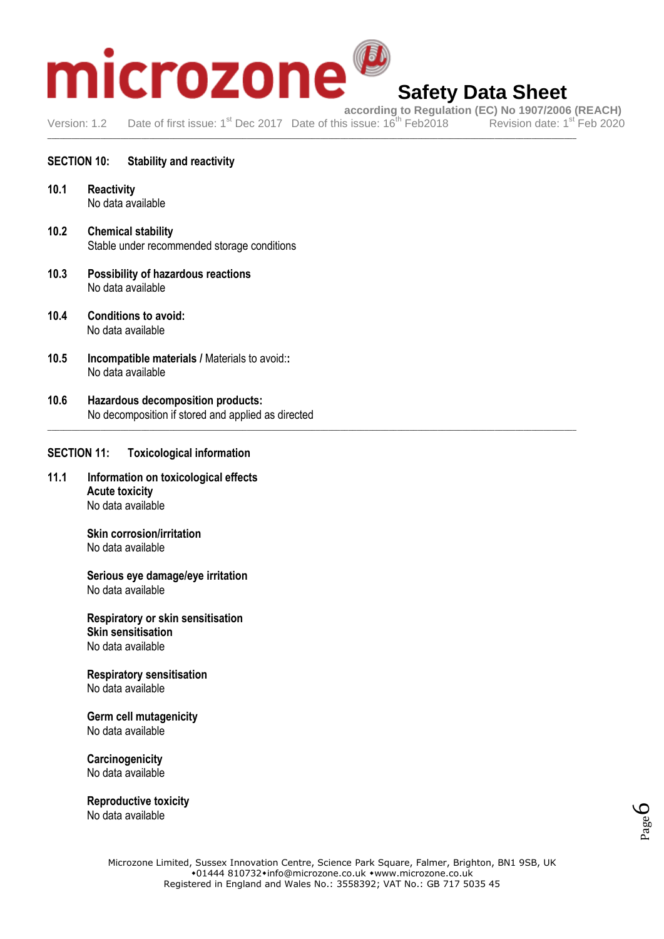# **afety Data Sheet**<br>Date of first issue: 1<sup>st</sup> Dec 2017 Date of this issue: 16<sup>th</sup> Feb2018<br>Date of first issue: 1<sup>st</sup> Dec 2017 Date of this issue: 16<sup>th</sup> Feb2018<br>Revision date: 1<sup>st</sup> Feb 2020

## **Safety Data Sheet**

Version: 1.2 Date of first issue: 1<sup>st</sup> Dec 2017 Date of this issue: 16<sup>th</sup> Feb 2018 \_\_\_\_\_\_\_\_\_\_\_\_\_\_\_\_\_\_\_\_\_\_\_\_\_\_\_\_\_\_\_\_\_\_\_\_\_\_\_\_\_\_\_\_\_\_\_\_\_\_\_\_\_\_\_\_\_\_\_\_\_\_\_\_\_\_\_\_\_\_\_\_\_\_\_\_\_\_\_\_\_\_\_\_\_\_\_\_\_\_\_\_\_\_\_\_\_\_\_\_\_\_\_\_\_\_\_\_\_\_\_\_\_\_\_\_\_\_\_\_\_\_\_\_\_\_\_\_\_\_

\_\_\_\_\_\_\_\_\_\_\_\_\_\_\_\_\_\_\_\_\_\_\_\_\_\_\_\_\_\_\_\_\_\_\_\_\_\_\_\_\_\_\_\_\_\_\_\_\_\_\_\_\_\_\_\_\_\_\_\_\_\_\_\_\_\_\_\_\_\_\_\_\_\_\_\_\_\_\_\_\_\_\_\_\_\_\_\_\_\_\_\_\_\_\_\_\_\_\_\_\_\_\_\_\_\_\_\_\_\_\_\_\_\_\_\_\_\_\_\_\_\_\_\_\_\_\_\_\_\_

#### **SECTION 10: Stability and reactivity**

- **10.1 Reactivity** No data available
- **10.2 Chemical stability** Stable under recommended storage conditions
- **10.3 Possibility of hazardous reactions** No data available
- **10.4 Conditions to avoid:** No data available
- **10.5 Incompatible materials /** Materials to avoid:**:** No data available
- **10.6 Hazardous decomposition products:** No decomposition if stored and applied as directed

#### **SECTION 11: Toxicological information**

**11.1 Information on toxicological effects Acute toxicity**  No data available

> **Skin corrosion/irritation**  No data available

**Serious eye damage/eye irritation**  No data available

**Respiratory or skin sensitisation Skin sensitisation**  No data available

**Respiratory sensitisation**  No data available

**Germ cell mutagenicity**  No data available

**Carcinogenicity**  No data available

**Reproductive toxicity**  No data available

Page  $\mathcal{O}$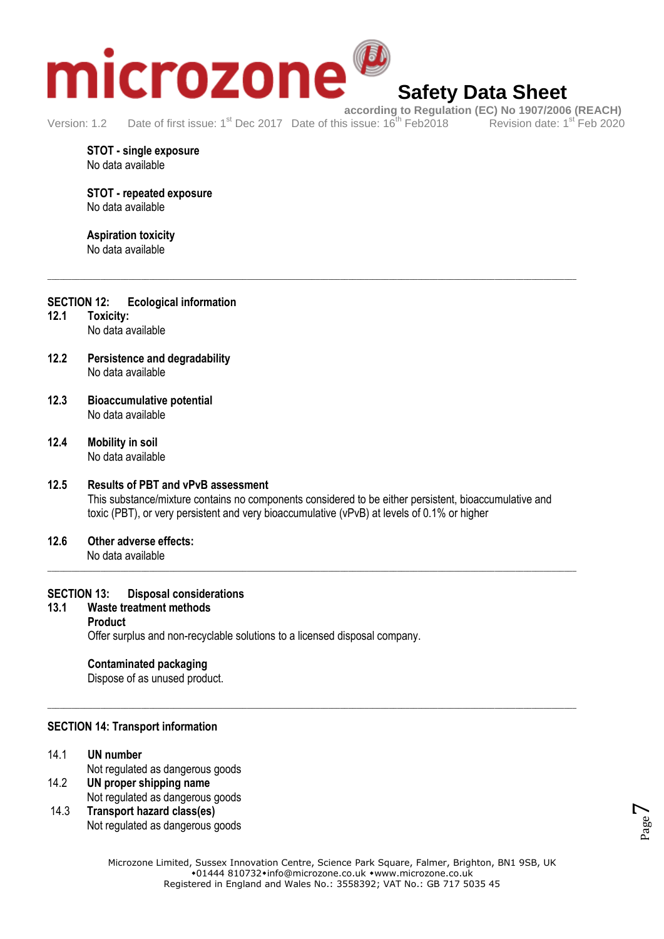

## **Safety Data Sheet**

Version: 1.2 Date of first issue: 1<sup>st</sup> Dec 2017 Date of this issue: 16<sup>th</sup> Feb 2018

**STOT - single exposure**  No data available

#### **STOT - repeated exposure**  No data available

#### **Aspiration toxicity**  No data available

#### \_\_\_\_\_\_\_\_\_\_\_\_\_\_\_\_\_\_\_\_\_\_\_\_\_\_\_\_\_\_\_\_\_\_\_\_\_\_\_\_\_\_\_\_\_\_\_\_\_\_\_\_\_\_\_\_\_\_\_\_\_\_\_\_\_\_\_\_\_\_\_\_\_\_\_\_\_\_\_\_\_\_\_\_\_\_\_\_\_\_\_\_\_\_\_\_\_\_\_\_\_\_\_\_\_\_\_\_\_\_\_\_\_\_\_\_\_\_\_\_\_\_\_\_\_\_\_\_\_\_

- **SECTION 12: Ecological information**
- **12.1 Toxicity:** No data available
- **12.2 Persistence and degradability** No data available
- **12.3 Bioaccumulative potential** No data available
- **12.4 Mobility in soil** No data available

#### **12.5 Results of PBT and vPvB assessment** This substance/mixture contains no components considered to be either persistent, bioaccumulative and toxic (PBT), or very persistent and very bioaccumulative (vPvB) at levels of 0.1% or higher

\_\_\_\_\_\_\_\_\_\_\_\_\_\_\_\_\_\_\_\_\_\_\_\_\_\_\_\_\_\_\_\_\_\_\_\_\_\_\_\_\_\_\_\_\_\_\_\_\_\_\_\_\_\_\_\_\_\_\_\_\_\_\_\_\_\_\_\_\_\_\_\_\_\_\_\_\_\_\_\_\_\_\_\_\_\_\_\_\_\_\_\_\_\_\_\_\_\_\_\_\_\_\_\_\_\_\_\_\_\_\_\_\_\_\_\_\_\_\_\_\_\_\_\_\_\_\_\_\_\_

\_\_\_\_\_\_\_\_\_\_\_\_\_\_\_\_\_\_\_\_\_\_\_\_\_\_\_\_\_\_\_\_\_\_\_\_\_\_\_\_\_\_\_\_\_\_\_\_\_\_\_\_\_\_\_\_\_\_\_\_\_\_\_\_\_\_\_\_\_\_\_\_\_\_\_\_\_\_\_\_\_\_\_\_\_\_\_\_\_\_\_\_\_\_\_\_\_\_\_\_\_\_\_\_\_\_\_\_\_\_\_\_\_\_\_\_\_\_\_\_\_\_\_\_\_\_\_\_\_\_

**12.6 Other adverse effects:** No data available

#### **SECTION 13: Disposal considerations**

#### **13.1 Waste treatment methods Product** Offer surplus and non-recyclable solutions to a licensed disposal company.

#### **Contaminated packaging**

Dispose of as unused product.

#### **SECTION 14: Transport information**

#### 14.1 **UN number**

Not regulated as dangerous goods

- 14.2 **UN proper shipping name** Not regulated as dangerous goods
- 14.3 **Transport hazard class(es)** Not regulated as dangerous goods

Page  $\overline{\phantom{a}}$ 

Microzone Limited, Sussex Innovation Centre, Science Park Square, Falmer, Brighton, BN1 9SB, UK  $*01444810732*$ info@microzone.co.uk \*www.microzone.co.uk Registered in England and Wales No.: 3558392; VAT No.: GB 717 5035 45